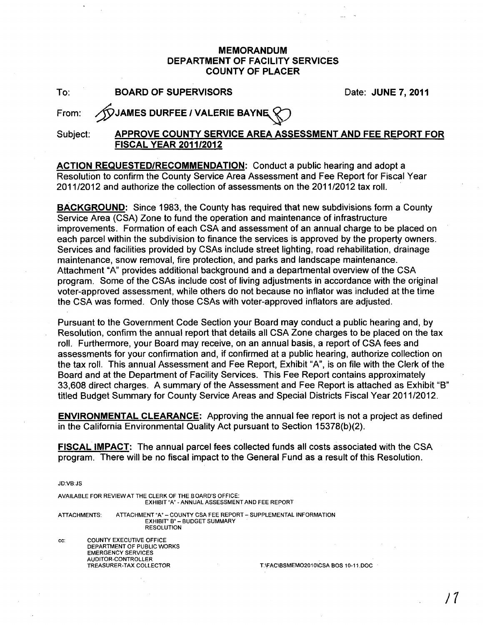### **MEMORANDUM DEPARTMENT OF FACILITY SERVICES COUNTY OF PLACER**

To: **BOARD OF SUPERVISORS**  Date: **JUNE 7, 2011** 

From: **/VJAMES DURFEE / VALERIE BAYNE** 

### Subject: **APPROVE COUNTY SERVICE AREA ASSESSMENT AND FEE REPORT FOR FISCAL YEAR 2011/2012**

**ACTION REQUESTED/RECOMMENDATION:** Conduct a public hearing and adopt a Resolution to confirm the County Service Area Assessment and Fee Report for Fiscal Year 2011/2012 and authorize the collection of assessments on the 2011/2012 tax roll. .

**BACKGROUND:** Since 1983, the County has required that new subdivisions form a County Service Area (CSA) Zone to fund the operation and maintenance of infrastructure improvements. Formation of each CSA and assessment of an annual charge to be placed on each parcel within the subdivision to finance the services is approved by the property owners. Services and facilities provided by CSAs include street lighting, road rehabilitation, drainage maintenance, snow removal, fire protection, and parks and landscape maintenance. Attachment "A" provides additional background and a departmental overview of the CSA program. Some of the CSAs include cost of living adjustments in accordance with the original voter-approved assessment, while others do not because no inflator was included at the time the CSA was formed. Only those CSAs with voter-approved inflators are adjusted.

Pursuant to the Government Code Section your Board may conduct a public hearing and, by Resolution, confirm the annual report that details all CSA Zone charges to be placed on the tax roll. Furthermore, your Board may receive, on an annual basis, a report of CSA fees and assessments for your confirmation and, if confirmed at a public hearing, authorize collection on the tax roll. This annual Assessment and Fee Report, Exhibit "A", is on file with the Clerk of the Board and at the Department of Facility Services. This Fee Report contains approximately 33,608 direct charges. A summary' of the Assessment and Fee Report is attached as Exhibit "B" titled Budget Summary for County Service Areas and Special Districts Fiscal Year 2011/2012.

**ENVIRONMENTAL CLEARANCE:** Approving the annual fee report is not a project as defined in the California Environmental Quality Act pursuant to Section 15378(b)(2).

**FISCAL IMPACT:** The annual parcel fees collected funds all costs associated with the CSA program. There will be no fiscal impact to the General Fund as a result of this Resolution.

JD:VB:JS

AVAILABLE FOR REVIEW AT THE CLERK OF THE BOARD'S OFFICE: EXHIBIT "A" - ANNUAL ASSESSMENT AND FEE REPORT ATTACHMENTS: ATTACHMENT "A" - COUNTY CSA FEE REPORT - SUPPLEMENTAL INFORMATION

EXHIBIT" B" - BUDGET SUMMARY **RESOLUTION** 

cc: COUNTY EXECUTIVE OFFICE DEPARTMENT OF PUBLIC WORKS EMERGENCY SERVICES AUDITOR-CONTROLLER<br>TREASURER-TAX COLLECTOR

T:\FAC\BSMEMO2010\CSA BOS 10-11.DOC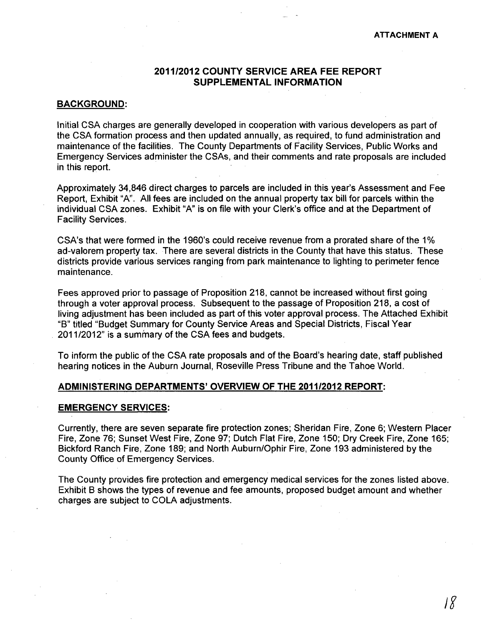#### **2011/2012 COUNTY SERVICE AREA FEE REPORT SUPPLEMENTAL INFORMATION**

#### **BACKGROUND:**

Initial CSA charges are generally developed in cooperation with various developers as part of the CSA formation process and then updated annually, as required, to fund administration and maintenance of the facilities. The County Departments of Facility Services, Public Works and Emergency Services administer the CSAs, and their comments and rate proposals are included in this report.

Approximately 34,846 direct charges to parcels are included in this year's Assessment and Fee Report, Exhibit "A". All fees are included on the annual property tax bill for parcels within the individual CSA zones. Exhibit "A" is on file with your Clerk's office and at the Department of Facility Services.

CSA's that were formed in the 1960's could receive revenue from a prorated share of the 1 % ad-valorem property tax. There are several districts in the County that have this status. These districts provide various services ranging from park maintenance to lighting to perimeter fence maintenance.

Fees approved prior to passage of Proposition 218, cannot be increased without first going through a voter approval process. Subsequent to the passage of Proposition 218, a cost of living adjustment has been included as part of this voter approval process. The Attached Exhibit "8" titled "Budget Summary for County Service Areas and Special Districts, Fiscal Year 2011/2012" is a summary of the CSA fees and budgets.

To inform the public of the CSA rate proposals and of the Board's hearing date, staff published hearing notices in the Auburn Journal, Roseville Press Tribune and the Tahoe World.

#### **ADMINISTERING DEPARTMENTS' OVERVIEW OF THE 2011/2012 REPORT:**

#### **EMERGENCY SERVICES:**

Currently, there are seven separate fire protection zones; Sheridan Fire, Zone 6; Western Placer Fire, Zone 76; Sunset West Fire, Zone 97; Dutch Flat Fire, Zone 150; Dry Creek Fire, Zone 165; Bickford Ranch Fire, Zone 189; and North Auburn/Ophir Fire, Zone 193 administered by the County Office of Emergency Services.

The County provides fire protection and emergency medical services for the zones listed above. Exhibit B shows the types of revenue and fee amounts, proposed budget amount and whether charges are subject to COLA adjustments.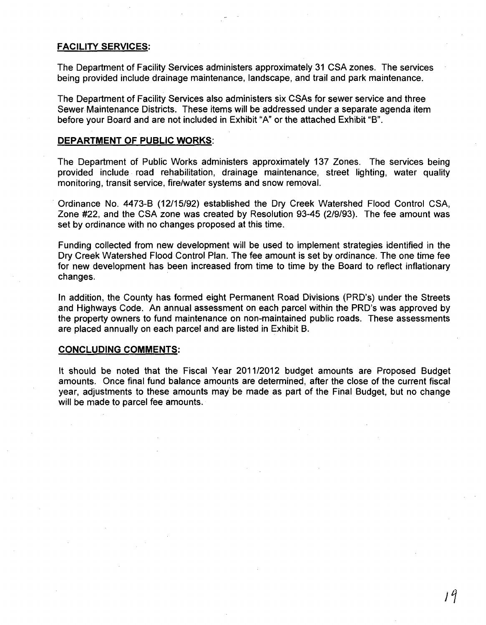#### FACILITY SERVICES:

The Department of Facility Services administers approximately 31 CSA zones. The services being provided include drainage maintenance, landscape, and trail and park maintenance.

The Department of Facility Services also administers six CSAs for sewer service and three Sewer Maintenance Districts. These items will be addressed under a separate agenda item before your Board and are not included in Exhibit "A" or the attached Exhibit "B".

#### DEPARTMENT OF PUBLIC WORKS:

The Department of Public Works administers approximately 137 Zones. The services being provided include road rehabilitation, drainage maintenance, street lighting, water quality monitoring, transit service, fire/water systems and snow removal.

Ordinance No. 4473-B (12/15/92) established the Dry Creek Watershed Flood Control CSA, Zone #22, and the CSA zone was created by Resolution 93-45 (2/9/93). The fee amount was set by ordinance with no changes proposed at this time.

Funding collected from new development will be used to implement strategies identified in the Dry Creek Watershed Flood Control Plan. The fee amount is set by ordinance. The one time fee for new development has been increased from time to time by the Board to reflect inflationary changes.

In addition, the County has formed eight Permanent Road Divisions (PRD's) under the Streets and Highways Code. An annual assessment on each parcel within the PRD's was approved by the property owners to fund maintenance on non-maintained public roads. These assessments are placed annually on each parcel and are listed in Exhibit B.

#### CONCLUDING COMMENTS:

It should be noted that the Fiscal Year 2011/2012 budget amounts are Proposed Budget amounts. Once final fund balance amounts are determined, after the close of the current fiscal year, adjustments to these amounts may be made as part of the Final Budget, but no change will be made to parcel fee amounts.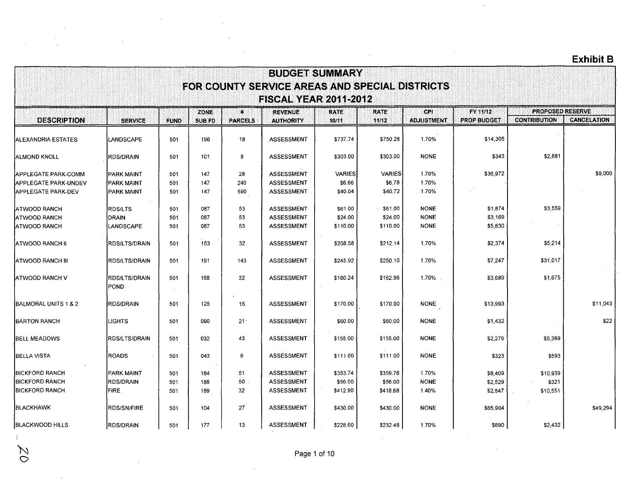$\bar{z}$ 

|                                                            |                                         |             |                               |                               |                                                                                | <b>BUDGET SUMMARY</b> |                       |                            |                                |                                                |                    |
|------------------------------------------------------------|-----------------------------------------|-------------|-------------------------------|-------------------------------|--------------------------------------------------------------------------------|-----------------------|-----------------------|----------------------------|--------------------------------|------------------------------------------------|--------------------|
|                                                            |                                         |             |                               |                               | FOR COUNTY SERVICE AREAS AND SPECIAL DISTRICTS<br><b>FISCAL YEAR 2011-2012</b> |                       |                       |                            |                                |                                                |                    |
| <b>DESCRIPTION</b>                                         | <b>SERVICE</b>                          | <b>FUND</b> | <b>ZONE:</b><br><b>SUB FD</b> | $\pmb{\mu}$<br><b>PARCELS</b> | <b>REVENUE</b><br><b>AUTHORITY</b>                                             | <b>RATE:</b><br>10/11 | <b>RATE:</b><br>11/12 | CPI<br><b>ADJUSTMENT</b>   | FY 11/12<br><b>PROP BUDGET</b> | <b>PROPOSED RESERVE</b><br><b>CONTRIBUTION</b> | <b>CANCELATION</b> |
| ALEXANDRIA ESTATES                                         | LANDSCAPE                               | 501         | 196                           | 18                            | <b>ASSESSMENT</b>                                                              | \$737.74              | \$750.28              | 1.70%                      | \$14,305                       |                                                |                    |
| <b>ALMOND KNOLL</b>                                        | RDS/DRAIN                               | 501         | 101                           | 8                             | <b>ASSESSMENT</b>                                                              | \$303.00              | \$303.00              | <b>NONE</b>                | \$343                          | \$2,881                                        |                    |
| <b>APPLEGATE PARK-COMM</b>                                 | <b>PARK MAINT</b>                       | 501         | 147                           | 28                            | <b>ASSESSMENT</b>                                                              | <b>VARIES</b>         | <b>VARIES</b>         | 1.70%                      | \$36,972                       |                                                | \$9,000            |
| <b>IAPPLEGATE PARK-UNDEV</b><br><b>IAPPLEGATE PARK-DEV</b> | <b>IPARK MAINT</b><br><b>PARK MAINT</b> | 501<br>501  | 147<br>147                    | 240<br>590                    | <b>ASSESSMENT</b><br><b>ASSESSMENT</b>                                         | \$6.66<br>\$40.04     | \$6.78<br>\$40.72     | 1.70%<br>1.70%             |                                |                                                |                    |
| IATWOOD RANCH<br><b>ATWOOD RANCH</b>                       | <b>RDS/LTS</b><br><b>DRAIN</b>          | 501<br>501  | 087<br>087                    | 53<br>53                      | <b>ASSESSMENT</b><br><b>ASSESSMENT</b>                                         | \$61.00<br>\$24.00    | \$61.00<br>\$24.00    | <b>NONE</b><br><b>NONE</b> | \$1,874<br>\$3,169             | \$3,559                                        |                    |
| <b>IATWOOD RANCH</b>                                       | LANDSCAPE                               | 501         | 087                           | 53                            | <b>ASSESSMENT</b>                                                              | \$110.00              | \$110.00              | <b>NONE</b>                | \$5,830                        |                                                |                    |
| ATWOOD RANCH II                                            | <b>RDS/LTS/DRAIN</b>                    | 501         | 153                           | 32 <sub>2</sub>               | <b>ASSESSMENT</b>                                                              | \$208.58              | \$212.14              | 1.70%                      | \$2,374                        | \$5,214                                        |                    |
| <b>IATWOOD RANCH III</b>                                   | <b>RDS/LTS/DRAIN</b>                    | 501         | 191                           | 143                           | <b>ASSESSMENT</b>                                                              | \$245.92              | \$250.10              | 1.70%                      | \$7,247                        | \$31,017                                       |                    |
| IATWOOD RANCH V                                            | RDS/LTS/DRAIN<br>POND                   | 501         | 168                           | 32                            | <b>ASSESSMENT</b>                                                              | \$160.24              | \$162.96              | 1.70%                      | \$3,689                        | \$1,675                                        |                    |
| <b>IBALMORAL UNITS 1 &amp; 2</b>                           | <b>RDS/DRAIN</b>                        | 501         | 125                           | 15                            | <b>ASSESSMENT</b>                                                              | \$170.00              | \$170.00              | <b>NONE</b>                | \$13,993                       |                                                | \$11,043           |
| <b>BARTON RANCH</b>                                        | <b>LIGHTS</b>                           | 501         | 090                           | $21 -$                        | <b>ASSESSMENT</b>                                                              | \$60.00               | \$60.00               | <b>NONE</b>                | \$1,432                        |                                                | \$22               |
| <b>BELL MEADOWS</b>                                        | <b>RDS/LTS/DRAIN</b>                    | 501         | 032                           | 43                            | <b>ASSESSMENT</b>                                                              | \$155.00              | \$155.00              | <b>NONE</b>                | \$2,276                        | \$5,389                                        |                    |
| BELLA VISTA                                                | <b>ROADS</b>                            | 501         | 043                           | 6                             | <b>ASSESSMENT</b>                                                              | \$111.00              | \$111.00              | <b>NONE</b>                | \$323                          | \$593                                          |                    |
| <b>IBICKFORD RANCH</b><br><b>IBICKFORD RANCH</b>           | <b>PARK MAINT</b><br><b>RDS/DRAIN</b>   | 501         | 184                           | 51<br>50                      | <b>ASSESSMENT</b><br><b>ASSESSMENT</b>                                         | \$353.74              | \$359.76              | 1.70%<br><b>NONE</b>       | \$8,409                        | \$10,939                                       |                    |
| <b>BICKFORD RANCH</b>                                      | <b>FIRE</b>                             | 501<br>501  | 188<br>189                    | 32                            | ASSESSMENT                                                                     | \$56.00<br>\$412.90   | \$56.00<br>\$418.68   | 1.40%                      | \$2,529<br>\$2,847             | \$321<br>\$10,551                              |                    |
| <b>BLACKHAWK</b>                                           | RDS/SN/FIRE                             | 501         | 104                           | 27                            | ASSESSMENT                                                                     | \$430.00              | \$430.00              | <b>NONE</b>                | \$65,904                       |                                                | \$49,294           |
| <b>BLACKWOOD HILLS</b>                                     | <b>RDS/DRAIN</b>                        | 501         | 177                           | 13                            | ASSESSMENT                                                                     | \$228.60              | \$232.48              | 1.70%                      | \$890                          | \$2,432                                        |                    |

 $\mathbf{r}$ 

 $\mathcal{L}$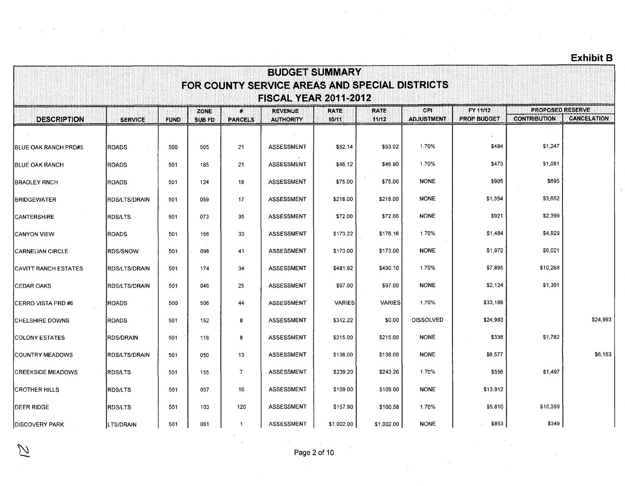|                              |                  |             |                              |                                | <b>BUDGET SUMMARY</b>                                                          |                      |                      |                          |                                |                                                |                    |
|------------------------------|------------------|-------------|------------------------------|--------------------------------|--------------------------------------------------------------------------------|----------------------|----------------------|--------------------------|--------------------------------|------------------------------------------------|--------------------|
|                              |                  |             |                              |                                | FOR COUNTY SERVICE AREAS AND SPECIAL DISTRICTS<br><b>FISCAL YEAR 2011-2012</b> |                      |                      |                          |                                |                                                |                    |
| <b>DESCRIPTION</b>           | <b>SERVICE</b>   | <b>FUND</b> | <b>ZONE</b><br><b>SUB FD</b> | $\mathbf{E}$<br><b>PARCELS</b> | <b>REVENUE</b><br><b>AUTHORITY</b>                                             | <b>RATE</b><br>10/11 | <b>RATE</b><br>11/12 | CPI<br><b>ADJUSTMENT</b> | FY 11/12<br><b>PROP BUDGET</b> | <b>PROPOSED RESERVE</b><br><b>CONTRIBUTION</b> | <b>CANCELATION</b> |
|                              |                  |             |                              |                                |                                                                                |                      |                      |                          |                                |                                                |                    |
| <b>BLUE OAK RANCH PRD#5</b>  | <b>ROADS</b>     | 500         | 505                          | 21                             | <b>ASSESSMENT</b>                                                              | \$52.14              | \$53.02              | 1.70%                    | \$484                          | \$1,247                                        |                    |
| <b>IBLUE OAK RANCH</b>       | <b>ROADS</b>     | 501         | 185                          | 21                             | <b>ASSESSMENT</b>                                                              | \$46.12              | \$46.90              | 1.70%                    | \$473                          | \$1,081                                        |                    |
| <b>BRADLEY RNCH</b>          | <b>ROADS</b>     | 501         | 124                          | 18                             | <b>ASSESSMENT</b>                                                              | \$75.00              | \$75.00              | <b>NONE</b>              | \$905                          | \$695                                          |                    |
| <b>BRIDGEWATER</b>           | RDS/LTS/DRAIN    | 501         | 059                          | 17                             | <b>ASSESSMENT</b>                                                              | \$218.00             | \$218.00             | <b>NONE</b>              | \$1,354                        | \$3,652                                        |                    |
| <b>CANTERSHIRE</b>           | <b>RDS/LTS</b>   | 501         | 073                          | 35                             | ASSESSMENT                                                                     | \$72.00              | \$72.00              | <b>NONE</b>              | \$921                          | \$2,399                                        |                    |
| <b>CANYON VIEW</b>           | <b>ROADS</b>     | 501         | 166                          | 33                             | <b>ASSESSMENT</b>                                                              | \$173.22             | \$176.16             | 1.70%                    | \$1,484                        | \$4,929                                        |                    |
| CARNELIAN CIRCLE             | <b>RDS/SNOW</b>  | 501         | 098                          | 41                             | <b>ASSESSMENT</b>                                                              | \$173.00             | \$173.00             | <b>NONE</b>              | \$1,972                        | \$6,021                                        |                    |
| <b>ICAVITT RANCH ESTATES</b> | IRDS/LTS/DRAIN   | 501         | 174                          | 34                             | <b>ASSESSMENT</b>                                                              | \$481.92             | \$490.10             | 1.70%                    | \$7,895                        | \$10,268                                       |                    |
| <b>CEDAR OAKS</b>            | IRDS/LTS/DRAIN   | 501         | 046                          | 25                             | ASSESSMENT                                                                     | \$97.00              | \$97.00              | <b>NONE</b>              | \$2,124                        | \$1,301                                        |                    |
| ICERRO VISTA PRD #6          | <b>ROADS</b>     | 500         | 506                          | 44                             | <b>ASSESSMENT</b>                                                              | <b>VARIES</b>        | <b>VARIES</b>        | 1.70%                    | \$33,189                       |                                                |                    |
| <b>CHELSHIRE DOWNS</b>       | <b>ROADS</b>     | 501         | 152                          | 8                              | <b>ASSESSMENT</b>                                                              | \$312.22             | \$0.00               | <b>DISSOLVED</b>         | \$24,993                       |                                                | \$24,993           |
| <b>COLONY ESTATES</b>        | <b>RDS/DRAIN</b> | 501         | 116                          | 8                              | ASSESSMENT                                                                     | \$215.00             | \$215.00             | <b>NONE</b>              | \$338                          | \$1,782                                        |                    |
| COUNTRY MEADOWS              | RDS/LTS/DRAIN    | 501         | 050                          | 13                             | <b>ASSESSMENT</b>                                                              | \$138.00             | \$138.00             | <b>NONE</b>              | \$8,577                        |                                                | \$6,183            |
| <b>CREEKSIDE MEADOWS</b>     | RDS/LTS          | 501         | 155                          | $\overline{7}$                 | <b>ASSESSMENT</b>                                                              | \$239.20             | \$243.26             | 1.70%                    | \$556                          | \$1,497                                        |                    |
| <b>CROTHER HILLS</b>         | <b>RDS/LTS</b>   | 501         | 057                          | 16                             | ASSESSMENT                                                                     | \$109.00             | \$109.00             | <b>NONE</b>              | \$13,912                       |                                                |                    |
| DEER RIDGE                   | <b>RDS/LTS</b>   | 501         | 103                          | 120                            | <b>ASSESSMENT</b>                                                              | \$157.90             | \$160.58             | 1.70%                    | \$5,810                        | \$16,359                                       |                    |
| <b>DISCOVERY PARK</b>        | LTS/DRAIN        | 501         | 061                          | $\mathbf{1}$                   | <b>ASSESSMENT</b>                                                              | \$1,002.00           | \$1,002.00           | <b>NONE</b>              | $. $ \$853                     | \$349                                          |                    |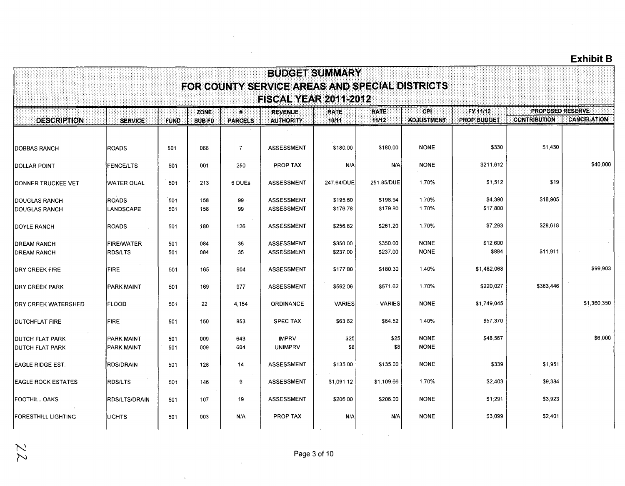| <b>BUDGET SUMMARY</b>                            |                                        |             |               |                |                                                |                      |                      |                            |                     |                         |                    |  |  |
|--------------------------------------------------|----------------------------------------|-------------|---------------|----------------|------------------------------------------------|----------------------|----------------------|----------------------------|---------------------|-------------------------|--------------------|--|--|
|                                                  |                                        |             |               |                | FOR COUNTY SERVICE AREAS AND SPECIAL DISTRICTS |                      |                      |                            |                     |                         |                    |  |  |
|                                                  |                                        |             | <b>ZONE</b>   | $\pmb{\mu}$    | <b>FISCAL YEAR 2011-2012</b><br><b>REVENUE</b> | <b>RATE</b>          | <b>RATE</b>          | <b>CPI</b>                 | FY 11/12            | <b>PROPOSED RESERVE</b> |                    |  |  |
| <b>DESCRIPTION</b>                               | <b>SERVICE</b>                         | <b>FUND</b> | <b>SUB FD</b> | <b>PARCELS</b> | <b>AUTHORITY</b>                               | 10/11                | 11/12                | <b>ADJUSTMENT</b>          | <b>PROP BUDGET</b>  | <b>CONTRIBUTION</b>     | <b>CANCELATION</b> |  |  |
| <b>DOBBAS RANCH</b>                              | <b>ROADS</b>                           | 501         | 066           | $\overline{7}$ | <b>ASSESSMENT</b>                              | \$180.00             | \$180.00             | <b>NONE</b>                | \$330               | \$1,430                 |                    |  |  |
| DOLLAR POINT                                     | <b>FENCE/LTS</b>                       | 501         | 001           | 250            | <b>PROP TAX</b>                                | N/A                  | N/A                  | <b>NONE</b>                | \$211,612           |                         | \$40,000           |  |  |
| DONNER TRUCKEE VET                               | <b>WATER QUAL</b>                      | 501         | 213           | 6 DUEs         | <b>ASSESSMENT</b>                              | 247.64/DUE           | 251.85/DUE           | 1.70%                      | \$1,512             | \$19                    |                    |  |  |
| <b>IDOUGLAS RANCH</b><br><b>DOUGLAS RANCH</b>    | <b>ROADS</b><br>LANDSCAPE              | 501<br>501  | 158<br>158    | $99 -$<br>99   | <b>ASSESSMENT</b><br><b>ASSESSMENT</b>         | \$195.60<br>\$176.78 | \$198.94<br>\$179.80 | 1.70%<br>1.70%             | \$4,390<br>\$17,800 | \$18,905                |                    |  |  |
| <b>IDOYLE RANCH</b>                              | <b>ROADS</b>                           | 501         | 180           | 126            | <b>ASSESSMENT</b>                              | \$256.82             | \$261.20             | 1.70%                      | \$7,293             | \$28,618                |                    |  |  |
| <b>DREAM RANCH</b><br><b>IDREAM RANCH</b>        | <b>FIRE/WATER</b><br><b>RDS/LTS</b>    | 501<br>501  | 084<br>084    | 36<br>35       | <b>ASSESSMENT</b><br>ASSESSMENT                | \$350.00<br>\$237.00 | \$350.00<br>\$237.00 | <b>NONE</b><br><b>NONE</b> | \$12,600<br>\$884   | \$11,911                |                    |  |  |
| <b>IDRY CREEK FIRE</b>                           | FIRE                                   | 501         | 165           | 904            | <b>ASSESSMENT</b>                              | \$177.80             | \$180.30             | 1.40%                      | \$1,482,068         |                         | \$99,903           |  |  |
| <b>IDRY CREEK PARK</b>                           | <b>PARK MAINT</b>                      | 501         | 169           | 977            | <b>ASSESSMENT</b>                              | \$562.06             | \$571.62             | 1.70%                      | \$220,027           | \$383,446               |                    |  |  |
| <b>IDRY CREEK WATERSHED</b>                      | <b>IFLOOD</b>                          | 501         | 22            | 4.154          | <b>ORDINANCE</b>                               | <b>VARIES</b>        | <b>VARIES</b>        | <b>NONE</b>                | \$1,749,045         |                         | \$1,360,350        |  |  |
| <b>DUTCHFLAT FIRE</b>                            | <b>FIRE</b>                            | 501         | 150           | 853            | <b>SPEC TAX</b>                                | \$63.62              | \$64.52              | 1.40%                      | \$57,370            |                         |                    |  |  |
| <b>DUTCH FLAT PARK</b><br><b>DUTCH FLAT PARK</b> | <b>PARK MAINT</b><br><b>PARK MAINT</b> | 501<br>501  | 009<br>009    | 643<br>604     | <b>IMPRV</b><br><b>UNIMPRV</b>                 | \$25<br>\$8          | \$25<br>\$8          | <b>NONE</b><br><b>NONE</b> | \$48,567            |                         | \$6,000            |  |  |
| <b>EAGLE RIDGE EST.</b>                          | RDS/DRAIN                              | 501         | 128           | 14             | ASSESSMENT                                     | \$135.00             | \$135.00             | <b>NONE</b>                | \$339               | \$1,951                 |                    |  |  |
| <b>EAGLE ROCK ESTATES</b>                        | <b>RDS/LTS</b>                         | 501         | 146           | 9              | ASSESSMENT                                     | \$1,091.12           | \$1,109.66           | 1.70%                      | \$2,403             | \$9,384                 |                    |  |  |
| FOOTHILL OAKS                                    | <b>RDS/LTS/DRAIN</b>                   | 501         | 107           | 19             | <b>ASSESSMENT</b>                              | \$206.00             | \$206.00             | <b>NONE</b>                | \$1,291             | \$3,923                 |                    |  |  |
| <b>FORESTHILL LIGHTING</b>                       | <b>LIGHTS</b>                          | 501         | 003           | N/A            | PROP TAX                                       | N/A                  | N/A                  | <b>NONE</b>                | \$3,099             | \$2,401                 |                    |  |  |

 $\overline{a}$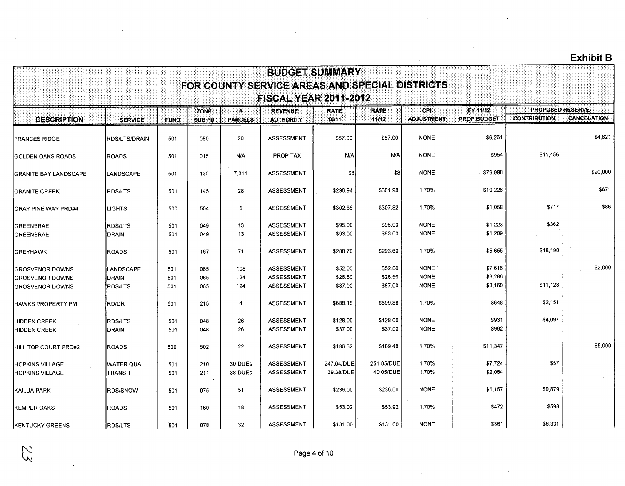$\mathcal{L}$ 

|                                                  |                                     |             |               |                    |                                                                                | <b>BUDGET SUMMARY</b>   |                         |                            |                    |                         |                    |
|--------------------------------------------------|-------------------------------------|-------------|---------------|--------------------|--------------------------------------------------------------------------------|-------------------------|-------------------------|----------------------------|--------------------|-------------------------|--------------------|
|                                                  |                                     |             |               |                    | FOR COUNTY SERVICE AREAS AND SPECIAL DISTRICTS<br><b>FISCAL YEAR 2011-2012</b> |                         |                         |                            |                    |                         |                    |
|                                                  |                                     |             | <b>ZONE</b>   | $\mathbf{p}$       | <b>REVENUE</b>                                                                 | <b>RATE</b>             | <b>RATE</b>             | <b>CPI</b>                 | FY 11/12           | <b>PROPOSED RESERVE</b> |                    |
| <b>DESCRIPTION</b>                               | <b>SERVICE</b>                      | <b>FUND</b> | <b>SUB FD</b> | <b>PARCELS</b>     | <b>AUTHORITY</b>                                                               | 10/11                   | 11/12                   | <b>ADJUSTMENT</b>          | <b>PROP BUDGET</b> | <b>CONTRIBUTION</b>     | <b>CANCELATION</b> |
| <b>IFRANCES RIDGE</b>                            | <b>RDS/LTS/DRAIN</b>                | 501         | 080           | 20                 | <b>ASSESSMENT</b>                                                              | \$57.00                 | \$57.00                 | <b>NONE</b>                | \$6,261            |                         | \$4,821            |
| IGOLDEN OAKS ROADS                               | <b>ROADS</b>                        | 501         | 015           | N/A                | <b>PROP TAX</b>                                                                | N/A                     | N/A                     | <b>NONE</b>                | \$954              | \$11,456                |                    |
| <b>GRANITE BAY LANDSCAPE</b>                     | <b>LANDSCAPE</b>                    | 501         | 120           | 7,311              | <b>ASSESSMENT</b>                                                              | \$8                     | \$8                     | <b>NONE</b>                | - \$79,988         |                         | \$20,000           |
| <b>IGRANITE CREEK</b>                            | <b>RDS/LTS</b>                      | 501         | 145           | 28                 | <b>ASSESSMENT</b>                                                              | \$296.94                | \$301.98                | 1.70%                      | \$10,226           |                         | \$671              |
| <b>GRAY PINE WAY PRD#4</b>                       | <b>IGHTS</b>                        | 500         | 504           | $5\phantom{.0}$    | <b>ASSESSMENT</b>                                                              | \$302.68                | \$307.82                | 1.70%                      | \$1,058            | \$717                   | \$86               |
| <b>GREENBRAE</b><br><b>GREENBRAE</b>             | <b>RDS/LTS</b><br><b>DRAIN</b>      | 501<br>501  | 049<br>049    | 13<br>13           | <b>ASSESSMENT</b><br><b>ASSESSMENT</b>                                         | \$95.00<br>\$93.00      | \$95.00<br>\$93.00      | <b>NONE</b><br><b>NONE</b> | \$1,223<br>\$1,209 | \$362                   |                    |
| <b>GREYHAWK</b>                                  | <b>ROADS</b>                        | 501         | 167           | 71                 | <b>ASSESSMENT</b>                                                              | \$288.70                | \$293.60                | 1.70%                      | \$5,655            | \$18,190                |                    |
| <b>GROSVENOR DOWNS</b><br><b>GROSVENOR DOWNS</b> | LANDSCAPE<br><b>DRAIN</b>           | 501<br>501  | 065<br>065    | 108<br>124         | <b>ASSESSMENT</b><br>ASSESSMENT                                                | \$52.00<br>\$26.50      | \$52.00<br>\$26.50      | <b>NONE</b><br><b>NONE</b> | \$7,616<br>\$3,286 |                         | \$2,000            |
| <b>GROSVENOR DOWNS</b>                           | <b>RDS/LTS</b>                      | 501         | 065           | 124                | ASSESSMENT                                                                     | \$87.00                 | \$87.00                 | <b>NONE</b>                | \$3,160            | \$11,128                |                    |
| <b>HAWKS PROPERTY PM</b>                         | RD/DR                               | 501         | 215           | $\overline{4}$     | <b>ASSESSMENT</b>                                                              | \$688.18                | \$699.88                | 1.70%                      | \$648              | \$2,151                 |                    |
| <b>HIDDEN CREEK</b><br><b>HIDDEN CREEK</b>       | <b>RDS/LTS</b><br><b>DRAIN</b>      | 501<br>501  | 048<br>048    | 26<br>26           | <b>ASSESSMENT</b><br><b>ASSESSMENT</b>                                         | \$128.00<br>\$37.00     | \$128.00<br>\$37.00     | <b>NONE</b><br><b>NONE</b> | \$931<br>\$962     | \$4,097                 |                    |
| HILL TOP COURT PRD#2                             | <b>ROADS</b>                        | 500         | 502           | 22                 | <b>ASSESSMENT</b>                                                              | \$186.32                | \$189.48                | 1.70%                      | \$11,347           |                         | \$5,000            |
| <b>HOPKINS VILLAGE</b><br><b>HOPKINS VILLAGE</b> | <b>WATER QUAL</b><br><b>TRANSIT</b> | 501<br>501  | 210<br>211    | 30 DUEs<br>38 DUEs | <b>ASSESSMENT</b><br><b>ASSESSMENT</b>                                         | 247.64/DUE<br>39.38/DUE | 251.85/DUE<br>40.05/DUE | 1.70%<br>1.70%             | \$7,724<br>\$2,064 | \$57                    |                    |
| KAILUA PARK                                      | <b>RDS/SNOW</b>                     | 501         | 075           | 51                 | <b>ASSESSMENT</b>                                                              | \$236.00                | \$236.00                | <b>NONE</b>                | \$5,157            | \$9,879                 |                    |
| <b>KEMPER OAKS</b>                               | <b>ROADS</b>                        | 501         | 160           | 18                 | <b>ASSESSMENT</b>                                                              | \$53.02                 | \$53.92                 | 1.70%                      | \$472              | \$598                   |                    |
| <b>KENTUCKY GREENS</b>                           | <b>RDS/LTS</b>                      | 501         | 078           | 32                 | <b>ASSESSMENT</b>                                                              | \$131.00                | \$131.00                | <b>NONE</b>                | \$361              | \$6,331                 |                    |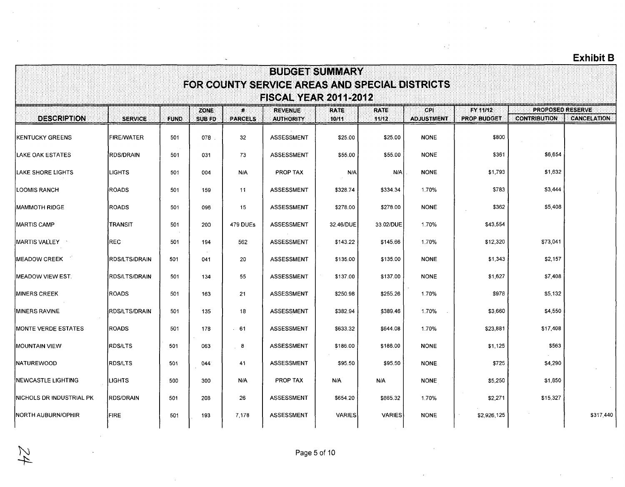|                                  |                                                                                                                                    |             |                              |                                |                                    |                       |                      |                           |                         |                     | <b>Exhibit B</b>   |  |  |  |  |
|----------------------------------|------------------------------------------------------------------------------------------------------------------------------------|-------------|------------------------------|--------------------------------|------------------------------------|-----------------------|----------------------|---------------------------|-------------------------|---------------------|--------------------|--|--|--|--|
|                                  | <b>BUDGET SUMMARY</b><br>FOR COUNTY SERVICE AREAS AND SPECIAL DISTRICTS<br><b>FISCAL YEAR 2011-2012</b><br><b>PROPOSED RESERVE</b> |             |                              |                                |                                    |                       |                      |                           |                         |                     |                    |  |  |  |  |
| <b>DESCRIPTION</b>               | <b>SERVICE</b>                                                                                                                     | <b>FUND</b> | <b>ZONE</b><br><b>SUB FD</b> | $\mathbf{R}$<br><b>PARCELS</b> | <b>REVENUE</b><br><b>AUTHORITY</b> | <b>RATE:</b><br>10/11 | <b>RATE</b><br>11/12 | CPI.<br><b>ADJUSTMENT</b> | FY 11/12<br>PROP BUDGET | <b>CONTRIBUTION</b> | <b>CANCELATION</b> |  |  |  |  |
| <b>KENTUCKY GREENS</b>           | <b>FIRE/WATER</b>                                                                                                                  | 501         | 078                          | 32                             | <b>ASSESSMENT</b>                  | \$25.00               | \$25.00              | <b>NONE</b>               | \$800                   |                     |                    |  |  |  |  |
| LAKE OAK ESTATES                 | <b>RDS/DRAIN</b>                                                                                                                   | 501         | 031                          | 73                             | <b>ASSESSMENT</b>                  | \$55.00               | \$55.00              | <b>NONE</b>               | \$361                   | \$6,654             |                    |  |  |  |  |
| LAKE SHORE LIGHTS                | <b>LIGHTS</b>                                                                                                                      | 501         | 004                          | N/A                            | PROP TAX                           | N/A                   | N/A                  | <b>NONE</b>               | \$1,793                 | \$1,632             |                    |  |  |  |  |
| <b>LOOMIS RANCH</b>              | <b>ROADS</b>                                                                                                                       | 501         | 159                          | 11                             | ASSESSMENT                         | \$328.74              | \$334.34             | 1.70%                     | \$783                   | \$3,444             |                    |  |  |  |  |
| IMAMMOTH RIDGE                   | <b>ROADS</b>                                                                                                                       | 501         | 096                          | 15                             | <b>ASSESSMENT</b>                  | \$278.00              | \$278.00             | <b>NONE</b>               | \$362                   | \$5,408             |                    |  |  |  |  |
| <b>MARTIS CAMP</b>               | TRANSIT                                                                                                                            | 501         | 200                          | 479 DUEs                       | <b>ASSESSMENT</b>                  | 32.46/DUE             | 33.02/DUE            | 1.70%                     | \$43,554                |                     |                    |  |  |  |  |
| MARTIS VALLEY __                 | <b>REC</b>                                                                                                                         | 501         | 194                          | 562                            | <b>ASSESSMENT</b>                  | \$143.22              | \$145.66             | 1.70%                     | \$12,320                | \$73,041            |                    |  |  |  |  |
| <b>MEADOW CREEK</b>              | <b>RDS/LTS/DRAIN</b>                                                                                                               | 501         | 041                          | 20                             | <b>ASSESSMENT</b>                  | \$135.00              | \$135.00             | <b>NONE</b>               | \$1,343                 | \$2,157             |                    |  |  |  |  |
| <b>MEADOW VIEW EST.</b>          | <b>RDS/LTS/DRAIN</b>                                                                                                               | 501         | 134                          | 55                             | <b>ASSESSMENT</b>                  | \$137.00              | \$137.00             | <b>NONE</b>               | \$1,627                 | \$7,408             |                    |  |  |  |  |
| <b>MINERS CREEK</b>              | <b>ROADS</b>                                                                                                                       | 501         | 163                          | 21                             | <b>ASSESSMENT</b>                  | \$250.98              | \$255.26             | 1.70%                     | \$978                   | \$5.132             |                    |  |  |  |  |
| <b>IMINERS RAVINE</b>            | <b>RDS/LTS/DRAIN</b>                                                                                                               | 501         | 135                          | 18                             | <b>ASSESSMENT</b>                  | \$382.94              | \$389.46             | 1.70%                     | \$3,660                 | \$4,550             |                    |  |  |  |  |
| <b>MONTE VERDE ESTATES</b>       | <b>ROADS</b>                                                                                                                       | 501         | 178                          | .61                            | ASSESSMENT                         | \$633.32              | \$644.08             | 1.70%                     | \$23,881                | \$17,408            |                    |  |  |  |  |
| <b>MOUNTAIN VIEW</b>             | <b>RDS/LTS</b>                                                                                                                     | 501         | 063                          | 8                              | <b>ASSESSMENT</b>                  | \$186.00              | \$186.00             | <b>NONE</b>               | \$1,125                 | \$563               |                    |  |  |  |  |
| <b>NATUREWOOD</b>                | <b>RDS/LTS</b>                                                                                                                     | 501         | 044                          | 41                             | <b>ASSESSMENT</b>                  | \$95.50               | \$95.50              | <b>NONE</b>               | \$725                   | \$4,290             |                    |  |  |  |  |
| <b>INEWCASTLE LIGHTING</b>       | LIGHTS                                                                                                                             | 500         | 300                          | N/A                            | PROP TAX                           | N/A                   | N/A                  | <b>NONE</b>               | \$5,250                 | \$1,850             |                    |  |  |  |  |
| <b>INICHOLS DR INDUSTRIAL PK</b> | <b>RDS/DRAIN</b>                                                                                                                   | 501         | 208                          | 26                             | <b>ASSESSMENT</b>                  | \$654.20              | \$665.32             | 1.70%                     | \$2,271                 | \$15,327            |                    |  |  |  |  |
| <b>INORTH AUBURN/OPHIR</b>       | <b>FIRE</b>                                                                                                                        | 501         | 193                          | 7.178                          | <b>ASSESSMENT</b>                  | <b>VARIES</b>         | <b>VARIES</b>        | <b>NONE</b>               | \$2,926,125             |                     | \$317,440          |  |  |  |  |

 $\sim 1$ 

 $\widetilde{z}4$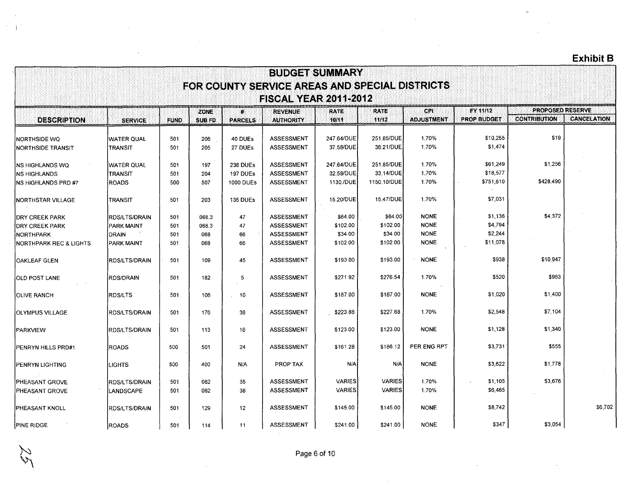|                                   |                       |             |                       |                                | <b>BUDGET SUMMARY</b>                          |                      |                      |                                 |                                       |                                         |                    |
|-----------------------------------|-----------------------|-------------|-----------------------|--------------------------------|------------------------------------------------|----------------------|----------------------|---------------------------------|---------------------------------------|-----------------------------------------|--------------------|
|                                   |                       |             |                       |                                | FOR COUNTY SERVICE AREAS AND SPECIAL DISTRICTS |                      |                      |                                 |                                       |                                         |                    |
|                                   |                       |             |                       |                                | <b>FISCAL YEAR 2011-2012</b>                   |                      |                      |                                 |                                       |                                         |                    |
| <b>DESCRIPTION</b>                | <b>SERVICE</b>        | <b>FUND</b> | ZONE<br><b>SUB FD</b> | $\mathbf{a}$<br><b>PARCELS</b> | <b>REVENUE</b><br><b>AUTHORITY</b>             | <b>RATE</b><br>10/11 | <b>RATE</b><br>11/12 | <b>CPL</b><br><b>ADJUSTMENT</b> | <b>FY 11/12</b><br><b>PROP BUDGET</b> | PROPOSED RESERVE<br><b>CONTRIBUTION</b> | <b>CANCELATION</b> |
| <b>INORTHSIDE WQ</b>              | <b>IWATER QUAL</b>    | 501         | 206                   | 40 DUEs                        | <b>ASSESSMENT</b>                              | 247.64/DUE           | 251.85/DUE           | 1.70%                           | \$10,255                              | \$19                                    |                    |
| INORTHSIDE TRANSIT                | <b>TRANSIT</b>        | 501         | 205                   | 27 DUEs                        | <b>ASSESSMENT</b>                              | 37.58/DUE            | 38.21/DUE            | 1.70%                           | \$1,474                               |                                         |                    |
| INS HIGHLANDS WQ                  | WATER QUAL            | 501         | 197                   | <b>238 DUEs</b>                | <b>ASSESSMENT</b>                              | 247.64/DUE           | 251.85/DUE           | 1.70%                           | \$61,249                              | \$1,256                                 |                    |
| INS HIGHLANDS                     | <b>TRANSIT</b>        | 501         | 204                   | 197 DUEs                       | <b>ASSESSMENT</b>                              | 32.58/DUE            | 33.14/DUE            | 1.70%                           | \$18,577                              |                                         |                    |
| <b>NS HIGHLANDS PRD #7</b>        | ROADS                 | 500         | 507                   | <b>1000 DUES</b>               | <b>ASSESSMENT</b>                              | 1130./DUE            | 1150.10/DUE          | 1.70%                           | \$751,610                             | \$428,490                               |                    |
| INORTHSTAR VILLAGE                | TRANSIT               | 501         | 203                   | <b>135 DUEs</b>                | <b>ASSESSMENT</b>                              | 15.20/DUE            | 15.47/DUE            | 1.70%                           | \$7,031                               |                                         |                    |
| <b>DRY CREEK PARK</b>             | <b>IRDS/LTS/DRAIN</b> | 501         | 068.3                 | 47                             | <b>ASSESSMENT</b>                              | \$64.00              | \$64.00              | <b>NONE</b>                     | \$1,136                               | \$4,372                                 |                    |
| <b>IDRY CREEK PARK</b>            | PARK MAINT            | 501         | 068.3                 | 47                             | <b>ASSESSMENT</b>                              | \$102.00             | \$102.00             | <b>NONE</b>                     | \$4,794                               |                                         |                    |
| <b>INORTHPARK</b>                 | DRAIN                 | 501         | 068                   | 66                             | <b>ASSESSMENT</b>                              | \$34.00              | \$34.00              | <b>NONE</b>                     | \$2,244                               |                                         |                    |
| <b>NORTHPARK REC &amp; LIGHTS</b> | IPARK MAINT           | 501         | 068                   | 66                             | ASSESSMENT                                     | \$102.00             | \$102.00             | <b>NONE</b>                     | \$11,078                              |                                         |                    |
| <b>OAKLEAF GLEN</b>               | <b>RDS/LTS/DRAIN</b>  | 501         | 109                   | 45                             | <b>ASSESSMENT</b>                              | \$193.00             | \$193.00             | <b>NONE</b>                     | \$938                                 | \$10,947                                |                    |
| IOLD POST LANE                    | ÍRDS/DRAIN            | 501         | 182                   | 5                              | ASSESSMENT                                     | \$271.92             | \$276.54             | 1.70%                           | \$520                                 | \$963                                   |                    |
| <b>IOLIVE RANCH</b>               | <b>RDS/LTS</b>        | 501         | 106                   | 10                             | <b>ASSESSMENT</b>                              | \$187.00             | \$187.00             | <b>NONE</b>                     | \$1,020                               | \$1,400                                 |                    |
| IOLYMPUS VILLAGE                  | <b>IRDS/LTS/DRAIN</b> | 501         | 176                   | 38                             | <b>ASSESSMENT</b>                              | \$223.88             | \$227.68             | 1.70%                           | \$2,548                               | \$7 104                                 |                    |
| PARKVIEW                          | <b>RDS/LTS/DRAIN</b>  | 501         | 113                   | 16                             | <b>ASSESSMENT</b>                              | \$123.00             | \$123.00             | <b>NONE</b>                     | \$1,128                               | \$1,340                                 |                    |
| PENRYN HILLS PRD#1                | <b>ROADS</b>          | 500         | 501                   | 24                             | <b>ASSESSMENT</b>                              | \$161.28             | \$166.12             | PER ENG RPT                     | \$3,731                               | \$555                                   |                    |
| <b>PENRYN LIGHTING</b>            | <b>ILIGHTS</b>        | 500         | 400                   | N/A                            | PROP TAX                                       | N/A                  | N/A                  | <b>NONE</b>                     | \$3,622                               | \$1.778                                 |                    |
| PHEASANT GROVE                    | <b>RDS/LTS/DRAIN</b>  | 501         | 082                   | 35                             | <b>ASSESSMENT</b>                              | <b>VARIES</b>        | <b>VARIES</b>        | 1.70%                           | \$1,105                               | \$3,676                                 |                    |
| PHEASANT GROVE                    | LANDSCAPE             | 501         | 082                   | 38                             | <b>ASSESSMENT</b>                              | <b>VARIES</b>        | <b>VARIES</b>        | 1.70%                           | \$6,465                               |                                         |                    |
| <b>IPHEASANT KNOLL</b>            | <b>RDS/LTS/DRAIN</b>  | .501        | 129                   | 12 <sup>2</sup>                | <b>ASSESSMENT</b>                              | \$145.00             | \$145.00             | <b>NONE</b>                     | \$8,742                               |                                         | \$6,702            |
| <b>PINE RIDGE</b>                 | <b>ROADS</b>          | 501         | 114                   | 11                             | <b>ASSESSMENT</b>                              | \$241.00             | \$241.00             | <b>NONE</b>                     | \$347                                 | \$3,054                                 |                    |

 $\sim$   $^{-1}$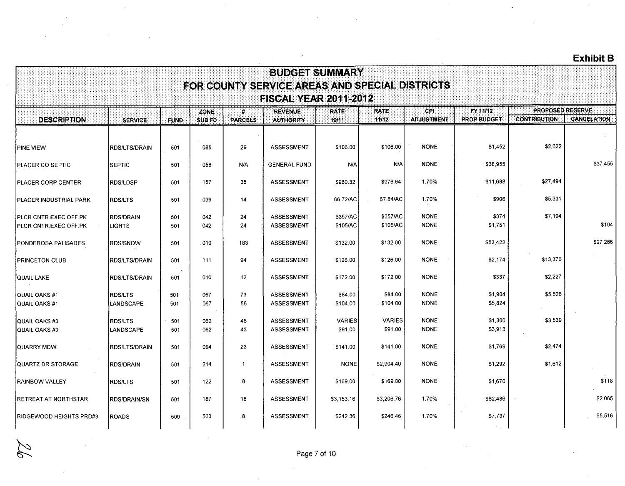÷.

|                                                        | <b>BUDGET SUMMARY</b><br>FOR COUNTY SERVICE AREAS AND SPECIAL DISTRICTS<br><b>FISCAL YEAR 2011-2012</b> |                 |               |                |                                        |                          |                          |                            |                    |                         |                    |  |  |  |
|--------------------------------------------------------|---------------------------------------------------------------------------------------------------------|-----------------|---------------|----------------|----------------------------------------|--------------------------|--------------------------|----------------------------|--------------------|-------------------------|--------------------|--|--|--|
|                                                        |                                                                                                         |                 | ZONE          | ₩.             | <b>REVENUE</b>                         | <b>RATE</b>              | <b>RATE</b>              | <b>CPI</b>                 | <b>FY 11/12</b>    | <b>PROPOSED RESERVE</b> |                    |  |  |  |
| <b>DESCRIPTION</b>                                     | <b>SERVICE</b>                                                                                          | <b>FUND</b>     | <b>SUB FD</b> | <b>PARCELS</b> | <b>AUTHORITY</b>                       | 10/11                    | 11/12                    | <b>ADJUSTMENT</b>          | <b>PROP BUDGET</b> | <b>CONTRIBUTION</b>     | <b>CANCELATION</b> |  |  |  |
| <b>IPINE VIEW</b>                                      | <b>IRDS/LTS/DRAIN</b>                                                                                   | 501             | 085           | 29             | <b>ASSESSMENT</b>                      | \$106.00                 | \$106.00                 | <b>NONE</b>                | \$1,452            | \$2,622                 |                    |  |  |  |
| <b>PLACER CO SEPTIC</b>                                | <b>SEPTIC</b>                                                                                           | 501             | 058           | N/A            | <b>GENERAL FUND</b>                    | N/A                      | N/A                      | <b>NONE</b>                | \$38,955           |                         | \$37,455           |  |  |  |
| <b>IPLACER CORP CENTER</b>                             | <b>RDS/LDSP</b>                                                                                         | 501             | 157           | 35             | <b>ASSESSMENT</b>                      | \$960.32                 | \$976.64                 | 1.70%                      | \$11,688           | \$27,494                |                    |  |  |  |
| <b>IPLACER INDUSTRIAL PARK</b>                         | <b>RDS/LTS</b>                                                                                          | 501             | 039           | 14             | <b>ASSESSMENT</b>                      | 66.72/AC                 | 67.84/AC                 | 1.70%                      | \$906              | \$5,331                 |                    |  |  |  |
| <b>PLCR CNTR.EXEC.OFF.PK</b><br>IPLCR CNTR.EXEC.OFF.PK | <b>RDS/DRAIN</b><br><b>ILIGHTS</b>                                                                      | 501<br>501      | 042<br>042    | 24<br>24       | ASSESSMENT<br><b>ASSESSMENT</b>        | \$357/AC<br>\$105/AC     | \$357/AC<br>\$105/AC     | <b>NONE</b><br><b>NONE</b> | \$374<br>\$1,751   | \$7,194                 | \$104              |  |  |  |
| <b>PONDEROSA PALISADES</b>                             | <b>IRDS/SNOW</b>                                                                                        | 501             | 019           | 183            | <b>ASSESSMENT</b>                      | \$132.00                 | \$132.00                 | <b>NONE</b>                | \$53,422           |                         | \$27,266           |  |  |  |
| <b>IPRINCETON CLUB</b>                                 | <b>IRDS/LTS/DRAIN</b>                                                                                   | 501             | 111           | 94             | <b>ASSESSMENT</b>                      | \$126.00                 | \$126.00                 | <b>NONE</b>                | \$2,174            | \$13,370                |                    |  |  |  |
| <b>QUAIL LAKE</b>                                      | <b>RDS/LTS/DRAIN</b>                                                                                    | $\Delta$<br>501 | 010           | 12             | <b>ASSESSMENT</b>                      | \$172.00                 | \$172.00                 | <b>NONE</b>                | \$337              | \$2,227                 |                    |  |  |  |
| QUAIL OAKS #1<br><b>QUAIL OAKS#1</b>                   | <b>RDS/LTS</b><br><b>LANDSCAPE</b>                                                                      | 501<br>501      | 067<br>067    | 73<br>56       | <b>ASSESSMENT</b><br><b>ASSESSMENT</b> | \$84.00<br>\$104.00      | \$84.00<br>\$104.00      | <b>NONE</b><br><b>NONE</b> | \$1.904<br>\$5,824 | \$5,828                 |                    |  |  |  |
| QUAIL OAKS #3<br>QUAIL OAKS #3                         | <b>RDS/LTS</b><br><b>LANDSCAPE</b>                                                                      | 501<br>501      | 062<br>062    | 46<br>43       | <b>ASSESSMENT</b><br><b>ASSESSMENT</b> | <b>VARIES</b><br>\$91.00 | <b>VARIES</b><br>\$91.00 | <b>NONE</b><br><b>NONE</b> | \$1,300<br>\$3,913 | \$3,539                 |                    |  |  |  |
| QUARRY MDW.                                            | <b>RDS/LTS/DRAIN</b>                                                                                    | 501             | 094           | 23             | <b>ASSESSMENT</b>                      | \$141.00                 | \$141.00                 | <b>NONE</b>                | \$1,769            | \$2,474                 |                    |  |  |  |
| QUARTZ DR STORAGE                                      | <b>RDS/DRAIN</b>                                                                                        | 501             | 214           | $\overline{1}$ | <b>ASSESSMENT</b>                      | <b>NONE</b>              | \$2,904.40               | <b>NONE</b>                | \$1,292            | \$1,612                 |                    |  |  |  |
| <b>IRAINBOW VALLEY</b>                                 | <b>RDS/LTS</b>                                                                                          | 501             | 122           | 8              | <b>ASSESSMENT</b>                      | \$169.00                 | \$169.00                 | <b>NONE</b>                | \$1,670            |                         | \$118              |  |  |  |
| <b>IRETREAT AT NORTHSTAR</b>                           | <b>IRDS/DRAIN/SN</b>                                                                                    | 501             | 187           | 18             | <b>ASSESSMENT</b>                      | \$3,153.16               | \$3,206.76               | 1.70%                      | \$62,486           |                         | \$2,065            |  |  |  |
| <b>IRIDGEWOOD HEIGHTS PRD#3</b>                        | <b>IROADS</b>                                                                                           | 500             | 503           | 8              | <b>ASSESSMENT</b>                      | \$242.36                 | \$246.46                 | 1.70%                      | \$7,737            |                         | \$5,516            |  |  |  |
|                                                        |                                                                                                         |                 |               |                |                                        |                          |                          |                            |                    |                         |                    |  |  |  |

 $\bar{z}$ 

9

6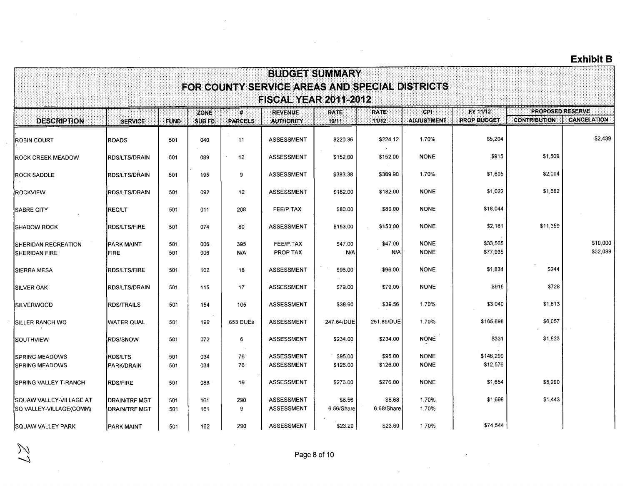|                                                           |                                       |             |                       |                                      | <b>BUDGET SUMMARY</b>                                                          |                      |                      |                            |                                       |                                         |                      |
|-----------------------------------------------------------|---------------------------------------|-------------|-----------------------|--------------------------------------|--------------------------------------------------------------------------------|----------------------|----------------------|----------------------------|---------------------------------------|-----------------------------------------|----------------------|
|                                                           |                                       |             |                       |                                      | FOR COUNTY SERVICE AREAS AND SPECIAL DISTRICTS<br><b>FISCAL YEAR 2011-2012</b> |                      |                      |                            |                                       |                                         |                      |
| <b>DESCRIPTION</b>                                        | <b>SERVICE</b>                        | <b>FUND</b> | ZONE<br><b>SUB FD</b> | $\boldsymbol{\mu}$<br><b>PARCELS</b> | <b>REVENUE</b><br><b>AUTHORITY</b>                                             | <b>RATE</b><br>10/11 | <b>RATE</b><br>11/12 | CPI<br><b>ADJUSTMENT</b>   | <b>FY 11/12</b><br><b>PROP BUDGET</b> | PROPOSED RESERVE<br><b>CONTRIBUTION</b> | <b>CANCELATION</b>   |
| <b>ROBIN COURT</b>                                        | <b>ROADS</b>                          | 501         | 040                   | 11                                   | <b>ASSESSMENT</b>                                                              | \$220.36             | \$224.12             | 1.70%                      | \$5,204                               |                                         | \$2,439              |
| <b>ROCK CREEK MEADOW</b>                                  | RDS/LTS/DRAIN                         | 501         | 089                   | 12                                   | <b>ASSESSMENT</b>                                                              | \$152.00             | \$152.00             | <b>NONE</b>                | \$915                                 | \$1,509                                 |                      |
| <b>ROCK SADDLE</b>                                        | RDS/LTS/DRAIN                         | 501         | 195                   | 9                                    | <b>ASSESSMENT</b>                                                              | \$383.38             | \$389.90             | 1.70%                      | \$1,605                               | \$2,004                                 |                      |
| <b>IROCKVIEW</b>                                          | <b>RDS/LTS/DRAIN</b>                  | 501         | 092                   | 12                                   | <b>ASSESSMENT</b>                                                              | \$182.00             | \$182.00             | <b>NONE</b>                | \$1,022                               | \$1,662                                 |                      |
| <b>SABRE CITY</b>                                         | <b>REC/LT</b>                         | 501         | 011                   | 208                                  | FEE/P.TAX                                                                      | \$80.00              | \$80.00              | <b>NONE</b>                | \$18,044                              |                                         |                      |
| <b>ISHADOW ROCK</b>                                       | <b>RDS/LTS/FIRE</b>                   | 501         | 074                   | 80                                   | <b>ASSESSMENT</b>                                                              | \$153.00             | \$153.00             | <b>NONE</b>                | \$2,181                               | \$11,359                                |                      |
| SHERIDAN RECREATION<br><b>SHERIDAN FIRE</b>               | PARK MAINT<br><b>FIRE</b>             | 501<br>501  | 006<br>006            | 395<br>N/A                           | FEE/P.TAX<br>PROP TAX                                                          | \$47.00<br>N/A       | \$47.00<br>N/A       | <b>NONE</b><br><b>NONE</b> | \$33,565<br>\$77,935                  |                                         | \$10,000<br>\$32,089 |
| <b>SIERRA MESA</b>                                        | <b>RDS/LTS/FIRE</b>                   | 501         | 102                   | 18                                   | <b>ASSESSMENT</b>                                                              | \$96.00              | \$96.00              | <b>NONE</b>                | \$1,834                               | \$244                                   |                      |
| ISILVER OAK                                               | RDS/LTS/DRAIN                         | 501         | 115                   | 17                                   | <b>ASSESSMENT</b>                                                              | \$79.00              | \$79.00              | <b>NONE</b>                | \$915                                 | \$728                                   |                      |
| <b>ISILVERWOOD</b>                                        | <b>RDS/TRAILS</b>                     | 501         | 154                   | 105                                  | <b>ASSESSMENT</b>                                                              | \$38.90              | \$39.56              | 1.70%                      | \$3,040                               | \$1,813                                 |                      |
| ÍSILLER RANCH WQ                                          | <b>WATER QUAL</b>                     | 501         | 199                   | 653 DUEs                             | <b>ASSESSMENT</b>                                                              | 247.64/DUE           | 251.85/DUE           | 1.70%                      | \$165,898                             | \$6,057                                 |                      |
| Southview                                                 | <b>RDS/SNOW</b>                       | 501         | 072                   | 6                                    | ASSESSMENT                                                                     | \$234.00             | \$234.00             | <b>NONE</b>                | \$331                                 | \$1,823                                 |                      |
| <b>SPRING MEADOWS</b><br><b>SPRING MEADOWS</b>            | RDS/LTS<br>PARK/DRAIN                 | 501<br>501  | 034<br>034            | 76<br>76                             | <b>ASSESSMENT</b><br><b>ASSESSMENT</b>                                         | \$95.00<br>\$126.00  | \$95.00<br>\$126.00  | <b>NONE</b><br><b>NONE</b> | \$146,290<br>\$12,576                 |                                         |                      |
| ISPRING VALLEY T-RANCH                                    | <b>RDS/FIRE</b>                       | 501         | 088                   | 19                                   | <b>ASSESSMENT</b>                                                              | \$276.00             | \$276.00             | <b>NONE</b>                | \$1,654                               | \$5,290                                 |                      |
| <b>SQUAW VALLEY-VILLAGE AT</b><br>SQ VALLEY-VILLAGE(COMM) | <b>DRAIN/TRF MGT</b><br>DRAIN/TRF MGT | 501<br>501  | 161<br>161            | 290<br>9                             | ASSESSMENT<br><b>ASSESSMENT</b>                                                | \$6.56<br>6.56/Share | \$6.68<br>6.68/Share | 1.70%<br>1.70%             | \$1,698                               | \$1,443                                 |                      |
| SQUAW VALLEY PARK                                         | <b>PARK MAINT</b>                     | 501         | 162                   | 290                                  | <b>ASSESSMENT</b>                                                              | \$23.20              | \$23.60              | 1.70%                      | \$74,544                              |                                         |                      |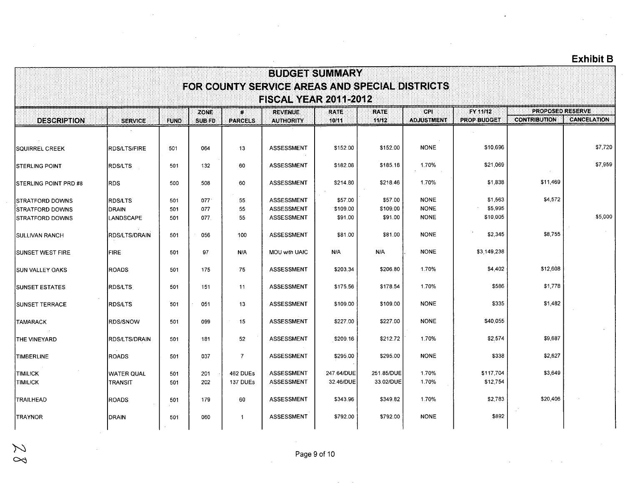|                               |                      |             |                              |                      | <b>BUDGET SUMMARY</b>                                                          |                      |                       |                          |                                |                                         |                    |
|-------------------------------|----------------------|-------------|------------------------------|----------------------|--------------------------------------------------------------------------------|----------------------|-----------------------|--------------------------|--------------------------------|-----------------------------------------|--------------------|
|                               |                      |             |                              |                      | FOR COUNTY SERVICE AREAS AND SPECIAL DISTRICTS<br><b>FISCAL YEAR 2011-2012</b> |                      |                       |                          |                                |                                         |                    |
| <b>DESCRIPTION</b>            | <b>SERVICE</b>       | <b>FUND</b> | <b>ZONE</b><br><b>SUB FD</b> | ₩.<br><b>PARCELS</b> | <b>REVENUE</b><br><b>AUTHORITY</b>                                             | <b>RATE</b><br>10/11 | <b>RATE:</b><br>11/12 | CPI<br><b>ADJUSTMENT</b> | FY 11/12<br><b>PROP BUDGET</b> | PROPOSED RESERVE<br><b>CONTRIBUTION</b> | <b>CANCELATION</b> |
|                               |                      |             |                              |                      |                                                                                |                      |                       |                          |                                |                                         |                    |
| <b>SQUIRREL CREEK</b>         | <b>RDS/LTS/FIRE</b>  | 501         | 064                          | 13                   | ASSESSMENT                                                                     | \$152.00             | \$152.00              | <b>NONE</b>              | \$10,696                       |                                         | \$7,720            |
| <b>ISTERLING POINT</b>        | <b>RDS/LTS</b>       | 501         | 132                          | 60                   | <b>ASSESSMENT</b>                                                              | \$182.08             | \$185.18              | 1.70%                    | \$21,069                       |                                         | \$7,959            |
| <b>ISTERLING POINT PRD #8</b> | <b>RDS</b>           | 500         | 508                          | 60                   | <b>ASSESSMENT</b>                                                              | \$214.80             | \$218.46              | 1.70%                    | \$1,838                        | \$11,469                                |                    |
| <b>STRATFORD DOWNS</b>        | <b>RDS/LTS</b>       | 501         | 077                          | 55                   | <b>ASSESSMENT</b>                                                              | \$57.00              | \$57.00               | <b>NONE</b>              | \$1,563                        | \$4,572                                 |                    |
| <b>STRATFORD DOWNS</b>        | DRAIN                | 501         | 077                          | 55                   | <b>ASSESSMENT</b>                                                              | \$109.00             | \$109.00              | <b>NONE</b>              | \$5,995                        |                                         |                    |
| ISTRATFORD DOWNS              | LANDSCAPE            | 501         | 077.                         | 55                   | <b>ASSESSMENT</b>                                                              | \$91.00              | \$91.00               | <b>NONE</b>              | \$10,005                       |                                         | \$5,000            |
| <b>SULLIVAN RANCH</b>         | <b>RDS/LTS/DRAIN</b> | 501         | 056                          | 100                  | <b>ASSESSMENT</b>                                                              | \$81.00              | \$81.00               | <b>NONE</b>              | \$2,345                        | \$8,755                                 |                    |
| ISUNSET WEST FIRE             | <b>FIRE</b>          | 501         | 97                           | N/A                  | MOU with UAIC                                                                  | N/A                  | N/A                   | <b>NONE</b>              | \$3,149,238                    |                                         |                    |
| <b>SUN VALLEY OAKS</b>        | ROADS                | 501         | 175                          | 75                   | <b>ASSESSMENT</b>                                                              | \$203.34             | \$206.80              | 1.70%                    | \$4,402                        | \$12,608                                |                    |
| <b>SUNSET ESTATES</b>         | <b>RDS/LTS</b>       | 501         | 151                          | 11                   | <b>ASSESSMENT</b>                                                              | \$175.56             | \$178.54              | 1.70%                    | \$586                          | \$1,778                                 |                    |
| ISUNSET TERRACE               | <b>IRDS/LTS</b>      | 501         | 051                          | 13                   | <b>ASSESSMENT</b>                                                              | \$109.00             | \$109.00              | <b>NONE</b>              | \$335                          | \$1,482                                 |                    |
| <b>TAMARACK</b>               | <b>RDS/SNOW</b>      | 501         | 099                          | 15                   | <b>ASSESSMENT</b>                                                              | \$227.00             | \$227.00              | <b>NONE</b>              | \$40,055                       |                                         |                    |
| THE VINEYARD                  | <b>RDS/LTS/DRAIN</b> | 501         | 181                          | 52                   | ASSESSMENT                                                                     | \$209.16             | \$212.72              | 1.70%                    | \$2,574                        | \$9,687                                 |                    |
| TIMBERLINE                    | <b>ROADS</b>         | 501         | 037                          | $\overline{7}$       | <b>ASSESSMENT</b>                                                              | \$295.00             | \$295.00              | <b>NONE</b>              | \$338                          | \$2,627                                 |                    |
| <b>TIMILICK</b>               | <b>WATER QUAL</b>    | 501         | 201                          | 462 DUEs             | <b>ASSESSMENT</b>                                                              | 247.64/DUE           | 251.85/DUE            | 1.70%                    | \$117,704                      | \$3,649                                 |                    |
| <b>TIMILICK</b>               | <b>TRANSIT</b>       | 501         | 202                          | 137 DUEs             | <b>ASSESSMENT</b>                                                              | 32.46/DUE            | 33.02/DUE             | 1.70%                    | \$12,754                       |                                         |                    |
| <b>TRAILHEAD</b>              | <b>ROADS</b>         | 501         | 179                          | 60                   | <b>ASSESSMENT</b>                                                              | \$343.96             | \$349.82              | 1.70%                    | \$2,783                        | \$20,406                                |                    |
| TRAYNOR                       | DRAIN                | 501         | 060                          | $\mathbf{1}$         | ASSESSMENT                                                                     | \$792.00             | \$792.00              | <b>NONE</b>              | \$892                          |                                         |                    |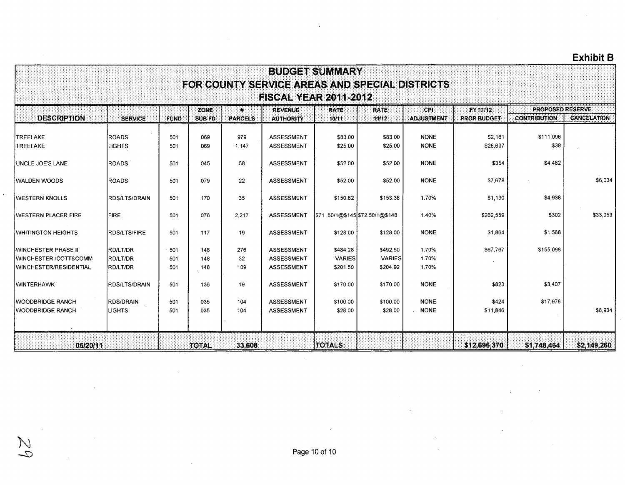| <b>BUDGET SUMMARY</b>                                                                                                       |                                                                                |             |              |                |                   |                                 |               |                   |                    |                     |                    |  |  |  |  |
|-----------------------------------------------------------------------------------------------------------------------------|--------------------------------------------------------------------------------|-------------|--------------|----------------|-------------------|---------------------------------|---------------|-------------------|--------------------|---------------------|--------------------|--|--|--|--|
|                                                                                                                             | FOR COUNTY SERVICE AREAS AND SPECIAL DISTRICTS<br><b>FISCAL YEAR 2011-2012</b> |             |              |                |                   |                                 |               |                   |                    |                     |                    |  |  |  |  |
|                                                                                                                             |                                                                                |             |              |                |                   |                                 |               |                   |                    |                     |                    |  |  |  |  |
| <b>PROPOSED RESERVE</b><br>CPI<br><b>FY 11/12</b><br>ZONE<br><b>REVENUE</b><br><b>RATE</b><br><b>RATE</b><br>$\mathbf{R}$ : |                                                                                |             |              |                |                   |                                 |               |                   |                    |                     |                    |  |  |  |  |
| <b>DESCRIPTION</b>                                                                                                          | <b>SERVICE</b>                                                                 | <b>FUND</b> | SUB FD       | <b>PARCELS</b> | <b>AUTHORITY</b>  | 10/11                           | 11/12         | <b>ADJUSTMENT</b> | <b>PROP BUDGET</b> | <b>CONTRIBUTION</b> | <b>CANCELATION</b> |  |  |  |  |
| TREELAKE                                                                                                                    | ROADS                                                                          | 501         | 069          | 979            | ASSESSMENT        | \$83.00                         | \$83.00       | <b>NONE</b>       | \$2,161            | \$111,096           |                    |  |  |  |  |
| <b>TREELAKE</b>                                                                                                             | LIGHTS                                                                         | 501         | 069          | 1,147          | <b>ASSESSMENT</b> | \$25.00                         | \$25.00       | <b>NONE</b>       | \$28,637           | \$38                |                    |  |  |  |  |
| <b>JUNCLE JOE'S LANE</b>                                                                                                    | <b>ROADS</b>                                                                   | 501         | 045          | 58             | <b>ASSESSMENT</b> | \$52.00                         | \$52.00       | <b>NONE</b>       | \$354              | \$4,462             |                    |  |  |  |  |
| <b>WALDEN WOODS</b>                                                                                                         | ROADS                                                                          | 501         | 079          | 22             | <b>ASSESSMENT</b> | \$52.00                         | \$52.00       | <b>NONE</b>       | \$7,678            |                     | \$6,034            |  |  |  |  |
| <b>IWESTERN KNOLLS</b>                                                                                                      | <b>RDS/LTS/DRAIN</b>                                                           | 501         | 170          | 35             | ASSESSMENT        | \$150.82                        | \$153.38      | 1.70%             | \$1,130            | \$4,938             |                    |  |  |  |  |
| <b>IWESTERN PLACER FIRE</b>                                                                                                 | <b>FIRE</b>                                                                    | 501         | 076          | 2,217          | <b>ASSESSMENT</b> | \$71.50/1@\$145 \$72.50/1@\$148 |               | 1.40%             | \$262,559          | \$302               | \$33,053           |  |  |  |  |
| <b>WHITINGTON HEIGHTS</b>                                                                                                   | <b>RDS/LTS/FIRE</b>                                                            | 501         | 117          | 19             | ASSESSMENT        | \$128.00                        | \$128.00      | <b>NONE</b>       | \$1,864            | \$1,568             |                    |  |  |  |  |
| <b>WINCHESTER PHASE II</b>                                                                                                  | <b>RD/LT/DR</b>                                                                | 501         | 148          | 276            | <b>ASSESSMENT</b> | \$484.28                        | \$492.50      | 1.70%             | \$67,767           | \$155,098           |                    |  |  |  |  |
| <b>IWINCHESTER /COTT&amp;COMM</b>                                                                                           | RD/LT/DR                                                                       | 501         | 148          | 32             | <b>ASSESSMENT</b> | <b>VARIES</b>                   | <b>VARIES</b> | 1.70%             |                    |                     |                    |  |  |  |  |
| <b>IWINCHESTER/RESIDENTIAL</b>                                                                                              | <b>RD/LT/DR</b>                                                                | 501         | 148          | 109            | <b>ASSESSMENT</b> | \$201.50                        | \$204.92      | 1.70%             |                    |                     |                    |  |  |  |  |
| <b>WINTERHAWK</b>                                                                                                           | <b>RDS/LTS/DRAIN</b>                                                           | 501         | 136          | 19             | ASSESSMENT        | \$170.00                        | \$170.00      | <b>NONE</b>       | \$823              | \$3,407             |                    |  |  |  |  |
| <b>WOODBRIDGE RANCH</b>                                                                                                     | <b>RDS/DRAIN</b>                                                               | 501         | 035          | 104            | <b>ASSESSMENT</b> | \$100.00                        | \$100.00      | <b>NONE</b>       | \$424              | \$17.976            |                    |  |  |  |  |
| <b>WOODBRIDGE RANCH</b>                                                                                                     | LIGHTS                                                                         | 501         | 035          | 104            | <b>ASSESSMENT</b> | \$28.00                         | \$28.00       | <b>NONE</b>       | \$11,846           |                     | \$8,934            |  |  |  |  |
|                                                                                                                             |                                                                                |             |              |                |                   |                                 |               |                   |                    |                     |                    |  |  |  |  |
| 05/20/11                                                                                                                    |                                                                                |             | <b>TOTAL</b> | 33,608         |                   | <b>TOTALS:</b>                  |               |                   | \$12,696,370       | \$1,748,464         | \$2,149,260        |  |  |  |  |

Page 10 of 10

 $Zq$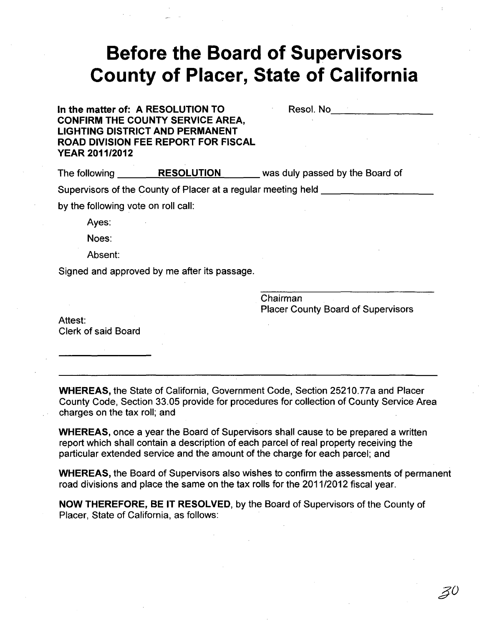# **Before the Board of Supervisors County of Placer, State of California**

**In the matter of: A RESOLUTION TO CONFIRM THE COUNTY SERVICE AREA, LIGHTING DISTRICT AND PERMANENT ROAD DIVISION FEE REPORT FOR FISCAL YEAR 2011/2012** 

Resol. No \_\_\_\_\_\_\_ \_

The following \_\_\_ ...:..R=E=S=O=L:..::U~T:...:..IO=.:....::N \_\_\_ was duly passed by the Board of Supervisors of the County of Placer at a regular meeting held

by the following vote on roll call:

Ayes:

Noes:

Absent:

Signed and approved by me after its passage.

Chairman Placer County Board of Supervisors

Attest: Clerk of said Board

**WHEREAS,** the State of California, Government Code, Section 25210.77a and Placer County Code, Section 33.05 provide for procedures for collection of County Service Area charges on the tax roll; and

**WHEREAS,** once a year the Board of Supervisors shall cause to be prepared a written report which shall contain a description of each parcel of real property receiving the particular extended service and the amount of the charge for each parcel; and

**WHEREAS,** the Board of Supervisors also wishes to confirm the assessments of permanent road divisions and place the same on the tax rolls for the 2011/2012 fiscal year.

**NOW THEREFORE, BE IT RESOLVED,** by the Board of Supervisors of the County of Placer, State of California, as follows: